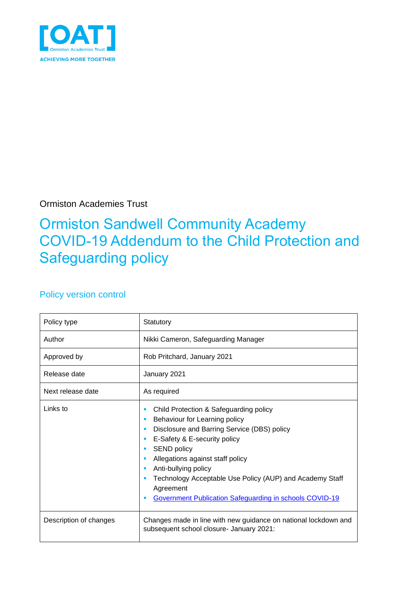

Ormiston Academies Trust

### Ormiston Sandwell Community Academy COVID-19 Addendum to the Child Protection and Safeguarding policy

#### Policy version control

| Policy type            | Statutory                                                                                                                                                                                                                                                                                                                                                                                        |  |  |
|------------------------|--------------------------------------------------------------------------------------------------------------------------------------------------------------------------------------------------------------------------------------------------------------------------------------------------------------------------------------------------------------------------------------------------|--|--|
| Author                 | Nikki Cameron, Safeguarding Manager                                                                                                                                                                                                                                                                                                                                                              |  |  |
| Approved by            | Rob Pritchard, January 2021                                                                                                                                                                                                                                                                                                                                                                      |  |  |
| Release date           | January 2021                                                                                                                                                                                                                                                                                                                                                                                     |  |  |
| Next release date      | As required                                                                                                                                                                                                                                                                                                                                                                                      |  |  |
| Links to               | Child Protection & Safeguarding policy<br>п<br>Behaviour for Learning policy<br>п<br>Disclosure and Barring Service (DBS) policy<br>E-Safety & E-security policy<br>٠<br><b>SEND policy</b><br>ш<br>Allegations against staff policy<br>Anti-bullying policy<br>Technology Acceptable Use Policy (AUP) and Academy Staff<br>Agreement<br>Government Publication Safeguarding in schools COVID-19 |  |  |
| Description of changes | Changes made in line with new guidance on national lockdown and<br>subsequent school closure- January 2021:                                                                                                                                                                                                                                                                                      |  |  |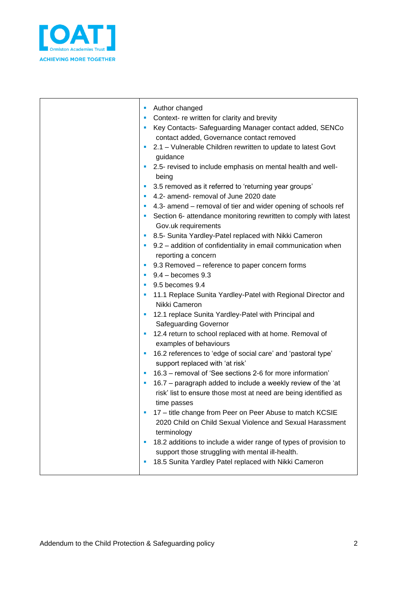

 $\mathbf{\tau}$ 

 $\mathbf{r}$ 

| Author changed<br>Context- re written for clarity and brevity<br>Key Contacts- Safeguarding Manager contact added, SENCo<br>contact added, Governance contact removed<br>2.1 - Vulnerable Children rewritten to update to latest Govt<br>guidance<br>2.5- revised to include emphasis on mental health and well-<br>being<br>3.5 removed as it referred to 'returning year groups'<br>4.2- amend- removal of June 2020 date<br>4.3- amend – removal of tier and wider opening of schools ref<br>Section 6- attendance monitoring rewritten to comply with latest<br>Gov.uk requirements<br>8.5- Sunita Yardley-Patel replaced with Nikki Cameron<br>9.2 - addition of confidentiality in email communication when<br>reporting a concern<br>9.3 Removed – reference to paper concern forms<br>$9.4 -$ becomes $9.3$<br>9.5 becomes 9.4<br>11.1 Replace Sunita Yardley-Patel with Regional Director and<br>Nikki Cameron<br>12.1 replace Sunita Yardley-Patel with Principal and<br>Safeguarding Governor<br>12.4 return to school replaced with at home. Removal of<br>examples of behaviours<br>16.2 references to 'edge of social care' and 'pastoral type'<br>×<br>support replaced with 'at risk'<br>16.3 - removal of 'See sections 2-6 for more information'<br>16.7 - paragraph added to include a weekly review of the 'at<br>risk' list to ensure those most at need are being identified as<br>time passes<br>17 - title change from Peer on Peer Abuse to match KCSIE<br>2020 Child on Child Sexual Violence and Sexual Harassment<br>terminology<br>18.2 additions to include a wider range of types of provision to<br>support those struggling with mental ill-health. |
|--------------------------------------------------------------------------------------------------------------------------------------------------------------------------------------------------------------------------------------------------------------------------------------------------------------------------------------------------------------------------------------------------------------------------------------------------------------------------------------------------------------------------------------------------------------------------------------------------------------------------------------------------------------------------------------------------------------------------------------------------------------------------------------------------------------------------------------------------------------------------------------------------------------------------------------------------------------------------------------------------------------------------------------------------------------------------------------------------------------------------------------------------------------------------------------------------------------------------------------------------------------------------------------------------------------------------------------------------------------------------------------------------------------------------------------------------------------------------------------------------------------------------------------------------------------------------------------------------------------------------------------------------------------------------------------|
| 18.5 Sunita Yardley Patel replaced with Nikki Cameron                                                                                                                                                                                                                                                                                                                                                                                                                                                                                                                                                                                                                                                                                                                                                                                                                                                                                                                                                                                                                                                                                                                                                                                                                                                                                                                                                                                                                                                                                                                                                                                                                                |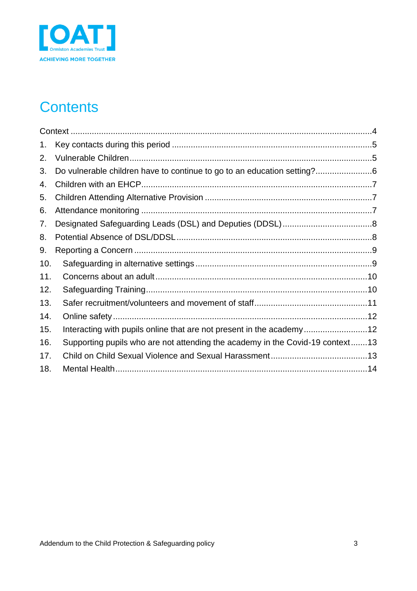

# **Contents**

| 1.  |                                                                               |
|-----|-------------------------------------------------------------------------------|
| 2.  |                                                                               |
| 3.  | Do vulnerable children have to continue to go to an education setting?        |
| 4.  |                                                                               |
| 5.  |                                                                               |
| 6.  |                                                                               |
| 7.  |                                                                               |
| 8.  |                                                                               |
| 9.  |                                                                               |
| 10. |                                                                               |
| 11. |                                                                               |
| 12. |                                                                               |
| 13. |                                                                               |
| 14. |                                                                               |
| 15. | Interacting with pupils online that are not present in the academy12          |
| 16. | Supporting pupils who are not attending the academy in the Covid-19 context13 |
| 17. |                                                                               |
| 18. |                                                                               |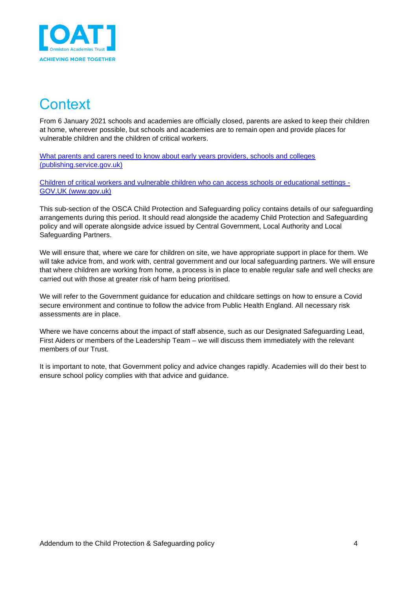

#### <span id="page-3-0"></span>**Context**

From 6 January 2021 schools and academies are officially closed, parents are asked to keep their children at home, wherever possible, but schools and academies are to remain open and provide places for vulnerable children and the children of critical workers.

[What parents and carers need to know about early years providers, schools and colleges](https://assets.publishing.service.gov.uk/government/uploads/system/uploads/attachment_data/file/951035/210108_Parents_Guidance_vF.pdf)  [\(publishing.service.gov.uk\)](https://assets.publishing.service.gov.uk/government/uploads/system/uploads/attachment_data/file/951035/210108_Parents_Guidance_vF.pdf)

[Children of critical workers and vulnerable children who can](https://www.gov.uk/government/publications/coronavirus-covid-19-maintaining-educational-provision/guidance-for-schools-colleges-and-local-authorities-on-maintaining-educational-provision) access schools or educational settings - [GOV.UK \(www.gov.uk\)](https://www.gov.uk/government/publications/coronavirus-covid-19-maintaining-educational-provision/guidance-for-schools-colleges-and-local-authorities-on-maintaining-educational-provision)

This sub-section of the OSCA Child Protection and Safeguarding policy contains details of our safeguarding arrangements during this period. It should read alongside the academy Child Protection and Safeguarding policy and will operate alongside advice issued by Central Government, Local Authority and Local Safeguarding Partners.

We will ensure that, where we care for children on site, we have appropriate support in place for them. We will take advice from, and work with, central government and our local safeguarding partners. We will ensure that where children are working from home, a process is in place to enable regular safe and well checks are carried out with those at greater risk of harm being prioritised.

We will refer to the Government guidance for education and childcare settings on how to ensure a Covid secure environment and continue to follow the advice from Public Health England. All necessary risk assessments are in place.

Where we have concerns about the impact of staff absence, such as our Designated Safeguarding Lead, First Aiders or members of the Leadership Team – we will discuss them immediately with the relevant members of our Trust.

It is important to note, that Government policy and advice changes rapidly. Academies will do their best to ensure school policy complies with that advice and guidance.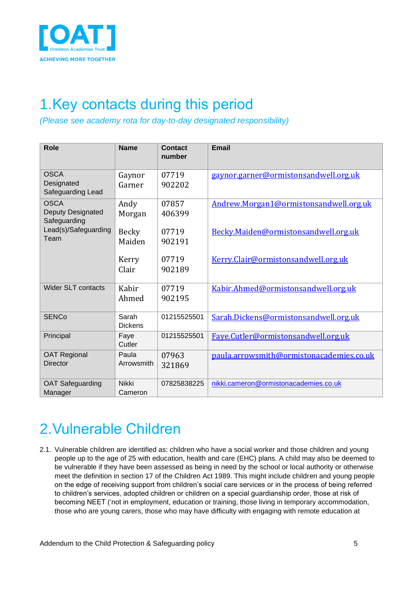

### <span id="page-4-0"></span>1.Key contacts during this period

*(Please see academy rota for day-to-day designated responsibility)*

| <b>Role</b>                                             | <b>Name</b>             | <b>Contact</b><br>number | <b>Email</b>                             |
|---------------------------------------------------------|-------------------------|--------------------------|------------------------------------------|
| <b>OSCA</b><br>Designated<br>Safeguarding Lead          | Gaynor<br>Garner        | 07719<br>902202          | gaynor.garner@ormistonsandwell.org.uk    |
| <b>OSCA</b><br><b>Deputy Designated</b><br>Safeguarding | Andy<br>Morgan          | 07857<br>406399          | Andrew.Morgan1@ormistonsandwell.org.uk   |
| Lead(s)/Safeguarding<br>Team                            | Becky<br>Maiden         | 07719<br>902191          | Becky.Maiden@ormistonsandwell.org.uk     |
|                                                         | Kerry<br>Clair          | 07719<br>902189          | Kerry.Clair@ormistonsandwell.org.uk      |
| <b>Wider SLT contacts</b>                               | Kabir<br>Ahmed          | 07719<br>902195          | Kabir.Ahmed@ormistonsandwell.org.uk      |
| <b>SENCo</b>                                            | Sarah<br><b>Dickens</b> | 01215525501              | Sarah.Dickens@ormistonsandwell.org.uk    |
| Principal                                               | Faye<br>Cutler          | 01215525501              | Faye.Cutler@ormistonsandwell.org.uk      |
| <b>OAT Regional</b><br><b>Director</b>                  | Paula<br>Arrowsmith     | 07963<br>321869          | paula.arrowsmith@ormistonacademies.co.uk |
| <b>OAT Safeguarding</b><br>Manager                      | <b>Nikki</b><br>Cameron | 07825838225              | nikki.cameron@ormistonacademies.co.uk    |

# <span id="page-4-1"></span>2.Vulnerable Children

2.1. Vulnerable children are identified as: children who have a social worker and those children and young people up to the age of 25 with education, health and care (EHC) plans. A child may also be deemed to be vulnerable if they have been assessed as being in need by the school or local authority or otherwise meet the definition in section 17 of the Children Act 1989. This might include children and young people on the edge of receiving support from children's social care services or in the process of being referred to children's services, adopted children or children on a special guardianship order, those at risk of becoming NEET ('not in employment, education or training, those living in temporary accommodation, those who are young carers, those who may have difficulty with engaging with remote education at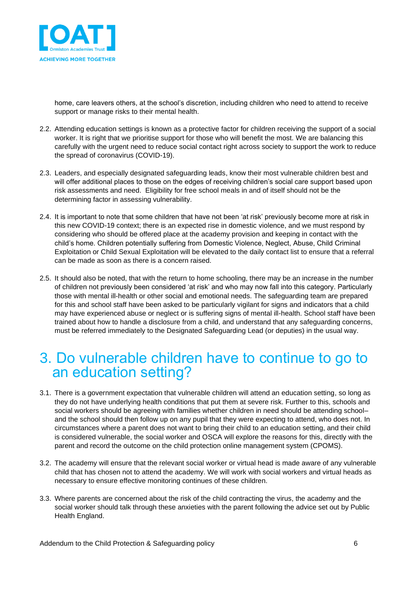

home, care leavers others, at the school's discretion, including children who need to attend to receive support or manage risks to their mental health.

- 2.2. Attending education settings is known as a protective factor for children receiving the support of a social worker. It is right that we prioritise support for those who will benefit the most. We are balancing this carefully with the urgent need to reduce social contact right across society to support the work to reduce the spread of coronavirus (COVID-19).
- 2.3. Leaders, and especially designated safeguarding leads, know their most vulnerable children best and will offer additional places to those on the edges of receiving children's social care support based upon risk assessments and need. Eligibility for free school meals in and of itself should not be the determining factor in assessing vulnerability.
- 2.4. It is important to note that some children that have not been 'at risk' previously become more at risk in this new COVID-19 context; there is an expected rise in domestic violence, and we must respond by considering who should be offered place at the academy provision and keeping in contact with the child's home. Children potentially suffering from Domestic Violence, Neglect, Abuse, Child Criminal Exploitation or Child Sexual Exploitation will be elevated to the daily contact list to ensure that a referral can be made as soon as there is a concern raised.
- 2.5. It should also be noted, that with the return to home schooling, there may be an increase in the number of children not previously been considered 'at risk' and who may now fall into this category. Particularly those with mental ill-health or other social and emotional needs. The safeguarding team are prepared for this and school staff have been asked to be particularly vigilant for signs and indicators that a child may have experienced abuse or neglect or is suffering signs of mental ill-health. School staff have been trained about how to handle a disclosure from a child, and understand that any safeguarding concerns, must be referred immediately to the Designated Safeguarding Lead (or deputies) in the usual way.

#### <span id="page-5-0"></span>3. Do vulnerable children have to continue to go to an education setting?

- 3.1. There is a government expectation that vulnerable children will attend an education setting, so long as they do not have underlying health conditions that put them at severe risk. Further to this, schools and social workers should be agreeing with families whether children in need should be attending schooland the school should then follow up on any pupil that they were expecting to attend, who does not. In circumstances where a parent does not want to bring their child to an education setting, and their child is considered vulnerable, the social worker and OSCA will explore the reasons for this, directly with the parent and record the outcome on the child protection online management system (CPOMS).
- 3.2. The academy will ensure that the relevant social worker or virtual head is made aware of any vulnerable child that has chosen not to attend the academy. We will work with social workers and virtual heads as necessary to ensure effective monitoring continues of these children.
- 3.3. Where parents are concerned about the risk of the child contracting the virus, the academy and the social worker should talk through these anxieties with the parent following the advice set out by Public Health England.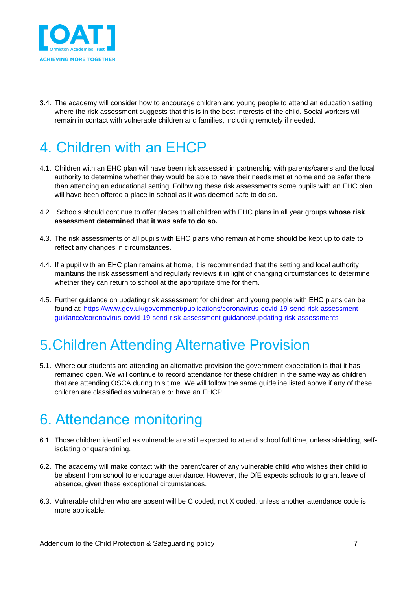

3.4. The academy will consider how to encourage children and young people to attend an education setting where the risk assessment suggests that this is in the best interests of the child. Social workers will remain in contact with vulnerable children and families, including remotely if needed.

# <span id="page-6-0"></span>4. Children with an EHCP

- 4.1. Children with an EHC plan will have been risk assessed in partnership with parents/carers and the local authority to determine whether they would be able to have their needs met at home and be safer there than attending an educational setting. Following these risk assessments some pupils with an EHC plan will have been offered a place in school as it was deemed safe to do so.
- 4.2. Schools should continue to offer places to all children with EHC plans in all year groups **whose risk assessment determined that it was safe to do so.**
- 4.3. The risk assessments of all pupils with EHC plans who remain at home should be kept up to date to reflect any changes in circumstances.
- 4.4. If a pupil with an EHC plan remains at home, it is recommended that the setting and local authority maintains the risk assessment and regularly reviews it in light of changing circumstances to determine whether they can return to school at the appropriate time for them.
- 4.5. Further guidance on updating risk assessment for children and young people with EHC plans can be found at: [https://www.gov.uk/government/publications/coronavirus-covid-19-send-risk-assessment](https://www.gov.uk/government/publications/coronavirus-covid-19-send-risk-assessment-guidance/coronavirus-covid-19-send-risk-assessment-guidance#updating-risk-assessments)[guidance/coronavirus-covid-19-send-risk-assessment-guidance#updating-risk-assessments](https://www.gov.uk/government/publications/coronavirus-covid-19-send-risk-assessment-guidance/coronavirus-covid-19-send-risk-assessment-guidance#updating-risk-assessments)

# <span id="page-6-1"></span>5.Children Attending Alternative Provision

5.1. Where our students are attending an alternative provision the government expectation is that it has remained open. We will continue to record attendance for these children in the same way as children that are attending OSCA during this time. We will follow the same guideline listed above if any of these children are classified as vulnerable or have an EHCP.

#### <span id="page-6-2"></span>6. Attendance monitoring

- 6.1. Those children identified as vulnerable are still expected to attend school full time, unless shielding, selfisolating or quarantining.
- 6.2. The academy will make contact with the parent/carer of any vulnerable child who wishes their child to be absent from school to encourage attendance. However, the DfE expects schools to grant leave of absence, given these exceptional circumstances.
- 6.3. Vulnerable children who are absent will be C coded, not X coded, unless another attendance code is more applicable.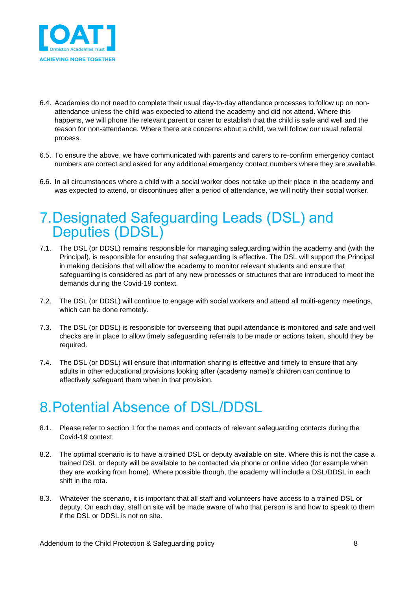

- 6.4. Academies do not need to complete their usual day-to-day attendance processes to follow up on nonattendance unless the child was expected to attend the academy and did not attend. Where this happens, we will phone the relevant parent or carer to establish that the child is safe and well and the reason for non-attendance. Where there are concerns about a child, we will follow our usual referral process.
- 6.5. To ensure the above, we have communicated with parents and carers to re-confirm emergency contact numbers are correct and asked for any additional emergency contact numbers where they are available.
- 6.6. In all circumstances where a child with a social worker does not take up their place in the academy and was expected to attend, or discontinues after a period of attendance, we will notify their social worker.

#### <span id="page-7-0"></span>7.Designated Safeguarding Leads (DSL) and Deputies (DDSL)

- 7.1. The DSL (or DDSL) remains responsible for managing safeguarding within the academy and (with the Principal), is responsible for ensuring that safeguarding is effective. The DSL will support the Principal in making decisions that will allow the academy to monitor relevant students and ensure that safeguarding is considered as part of any new processes or structures that are introduced to meet the demands during the Covid-19 context.
- 7.2. The DSL (or DDSL) will continue to engage with social workers and attend all multi-agency meetings, which can be done remotely.
- 7.3. The DSL (or DDSL) is responsible for overseeing that pupil attendance is monitored and safe and well checks are in place to allow timely safeguarding referrals to be made or actions taken, should they be required.
- 7.4. The DSL (or DDSL) will ensure that information sharing is effective and timely to ensure that any adults in other educational provisions looking after (academy name)'s children can continue to effectively safeguard them when in that provision.

# <span id="page-7-1"></span>8.Potential Absence of DSL/DDSL

- 8.1. Please refer to section 1 for the names and contacts of relevant safeguarding contacts during the Covid-19 context.
- 8.2. The optimal scenario is to have a trained DSL or deputy available on site. Where this is not the case a trained DSL or deputy will be available to be contacted via phone or online video (for example when they are working from home). Where possible though, the academy will include a DSL/DDSL in each shift in the rota.
- 8.3. Whatever the scenario, it is important that all staff and volunteers have access to a trained DSL or deputy. On each day, staff on site will be made aware of who that person is and how to speak to them if the DSL or DDSL is not on site.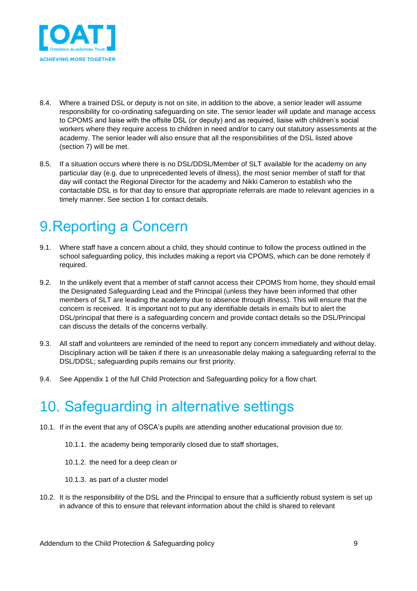

- 8.4. Where a trained DSL or deputy is not on site, in addition to the above, a senior leader will assume responsibility for co-ordinating safeguarding on site. The senior leader will update and manage access to CPOMS and liaise with the offsite DSL (or deputy) and as required, liaise with children's social workers where they require access to children in need and/or to carry out statutory assessments at the academy. The senior leader will also ensure that all the responsibilities of the DSL listed above (section 7) will be met.
- 8.5. If a situation occurs where there is no DSL/DDSL/Member of SLT available for the academy on any particular day (e.g. due to unprecedented levels of illness), the most senior member of staff for that day will contact the Regional Director for the academy and Nikki Cameron to establish who the contactable DSL is for that day to ensure that appropriate referrals are made to relevant agencies in a timely manner. See section 1 for contact details.

# <span id="page-8-0"></span>9.Reporting a Concern

- 9.1. Where staff have a concern about a child, they should continue to follow the process outlined in the school safeguarding policy, this includes making a report via CPOMS, which can be done remotely if required.
- 9.2. In the unlikely event that a member of staff cannot access their CPOMS from home, they should email the Designated Safeguarding Lead and the Principal (unless they have been informed that other members of SLT are leading the academy due to absence through illness). This will ensure that the concern is received. It is important not to put any identifiable details in emails but to alert the DSL/principal that there is a safeguarding concern and provide contact details so the DSL/Principal can discuss the details of the concerns verbally.
- 9.3. All staff and volunteers are reminded of the need to report any concern immediately and without delay. Disciplinary action will be taken if there is an unreasonable delay making a safeguarding referral to the DSL/DDSL; safeguarding pupils remains our first priority.
- 9.4. See Appendix 1 of the full Child Protection and Safeguarding policy for a flow chart.

# <span id="page-8-1"></span>10. Safeguarding in alternative settings

- 10.1. If in the event that any of OSCA's pupils are attending another educational provision due to:
	- 10.1.1. the academy being temporarily closed due to staff shortages,
	- 10.1.2. the need for a deep clean or
	- 10.1.3. as part of a cluster model
- 10.2. It is the responsibility of the DSL and the Principal to ensure that a sufficiently robust system is set up in advance of this to ensure that relevant information about the child is shared to relevant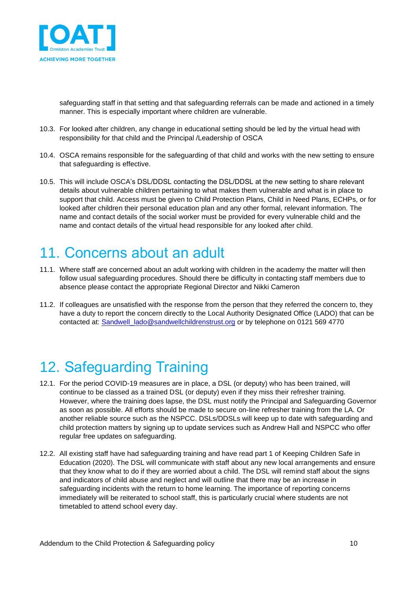

safeguarding staff in that setting and that safeguarding referrals can be made and actioned in a timely manner. This is especially important where children are vulnerable.

- 10.3. For looked after children, any change in educational setting should be led by the virtual head with responsibility for that child and the Principal /Leadership of OSCA
- 10.4. OSCA remains responsible for the safeguarding of that child and works with the new setting to ensure that safeguarding is effective.
- 10.5. This will include OSCA's DSL/DDSL contacting the DSL/DDSL at the new setting to share relevant details about vulnerable children pertaining to what makes them vulnerable and what is in place to support that child. Access must be given to Child Protection Plans, Child in Need Plans, ECHPs, or for looked after children their personal education plan and any other formal, relevant information. The name and contact details of the social worker must be provided for every vulnerable child and the name and contact details of the virtual head responsible for any looked after child.

# <span id="page-9-0"></span>11. Concerns about an adult

- 11.1. Where staff are concerned about an adult working with children in the academy the matter will then follow usual safeguarding procedures. Should there be difficulty in contacting staff members due to absence please contact the appropriate Regional Director and Nikki Cameron
- 11.2. If colleagues are unsatisfied with the response from the person that they referred the concern to, they have a duty to report the concern directly to the Local Authority Designated Office (LADO) that can be contacted at: [Sandwell\\_lado@sandwellchildrenstrust.org](mailto:Sandwell_lado@sandwellchildrenstrust.org) or by telephone on 0121 569 4770

# <span id="page-9-1"></span>12. Safeguarding Training

- 12.1. For the period COVID-19 measures are in place, a DSL (or deputy) who has been trained, will continue to be classed as a trained DSL (or deputy) even if they miss their refresher training. However, where the training does lapse, the DSL must notify the Principal and Safeguarding Governor as soon as possible. All efforts should be made to secure on-line refresher training from the LA. Or another reliable source such as the NSPCC. DSLs/DDSLs will keep up to date with safeguarding and child protection matters by signing up to update services such as Andrew Hall and NSPCC who offer regular free updates on safeguarding.
- 12.2. All existing staff have had safeguarding training and have read part 1 of Keeping Children Safe in Education (2020). The DSL will communicate with staff about any new local arrangements and ensure that they know what to do if they are worried about a child. The DSL will remind staff about the signs and indicators of child abuse and neglect and will outline that there may be an increase in safeguarding incidents with the return to home learning. The importance of reporting concerns immediately will be reiterated to school staff, this is particularly crucial where students are not timetabled to attend school every day.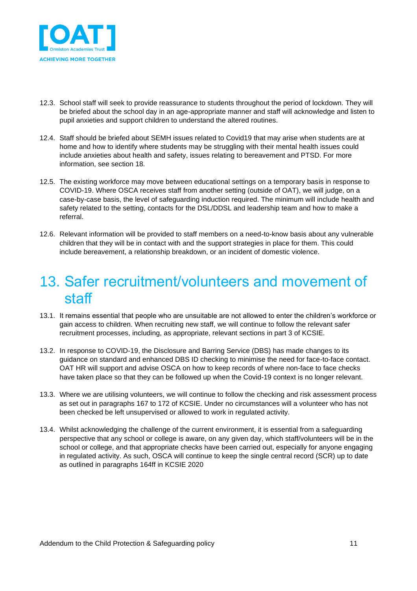

- 12.3. School staff will seek to provide reassurance to students throughout the period of lockdown. They will be briefed about the school day in an age-appropriate manner and staff will acknowledge and listen to pupil anxieties and support children to understand the altered routines.
- 12.4. Staff should be briefed about SEMH issues related to Covid19 that may arise when students are at home and how to identify where students may be struggling with their mental health issues could include anxieties about health and safety, issues relating to bereavement and PTSD. For more information, see section 18.
- 12.5. The existing workforce may move between educational settings on a temporary basis in response to COVID-19. Where OSCA receives staff from another setting (outside of OAT), we will judge, on a case-by-case basis, the level of safeguarding induction required. The minimum will include health and safety related to the setting, contacts for the DSL/DDSL and leadership team and how to make a referral.
- 12.6. Relevant information will be provided to staff members on a need-to-know basis about any vulnerable children that they will be in contact with and the support strategies in place for them. This could include bereavement, a relationship breakdown, or an incident of domestic violence.

#### <span id="page-10-0"></span>13. Safer recruitment/volunteers and movement of staff

- 13.1. It remains essential that people who are unsuitable are not allowed to enter the children's workforce or gain access to children. When recruiting new staff, we will continue to follow the relevant safer recruitment processes, including, as appropriate, relevant sections in part 3 of KCSIE.
- 13.2. In response to COVID-19, the Disclosure and Barring Service (DBS) has made changes to its guidance on standard and enhanced DBS ID checking to minimise the need for face-to-face contact. OAT HR will support and advise OSCA on how to keep records of where non-face to face checks have taken place so that they can be followed up when the Covid-19 context is no longer relevant.
- 13.3. Where we are utilising volunteers, we will continue to follow the checking and risk assessment process as set out in paragraphs 167 to 172 of KCSIE. Under no circumstances will a volunteer who has not been checked be left unsupervised or allowed to work in regulated activity.
- 13.4. Whilst acknowledging the challenge of the current environment, it is essential from a safeguarding perspective that any school or college is aware, on any given day, which staff/volunteers will be in the school or college, and that appropriate checks have been carried out, especially for anyone engaging in regulated activity. As such, OSCA will continue to keep the single central record (SCR) up to date as outlined in paragraphs 164ff in KCSIE 2020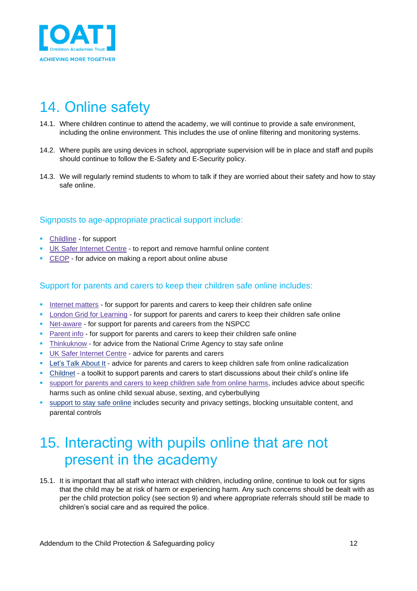

# <span id="page-11-0"></span>14. Online safety

- 14.1. Where children continue to attend the academy, we will continue to provide a safe environment, including the online environment. This includes the use of online filtering and monitoring systems.
- 14.2. Where pupils are using devices in school, appropriate supervision will be in place and staff and pupils should continue to follow the E-Safety and E-Security policy.
- 14.3. We will regularly remind students to whom to talk if they are worried about their safety and how to stay safe online.

#### Signposts to age-appropriate practical support include:

- [Childline](https://www.childline.org.uk/?utm_source=google&utm_medium=cpc&utm_campaign=UK_GO_S_B_BND_Grant_Childline_Information&utm_term=role_of_childline&gclsrc=aw.ds&&gclid=EAIaIQobChMIlfLRh-ez6AIVRrDtCh1N9QR2EAAYASAAEgLc-vD_BwE&gclsrc=aw.ds) for support
- UK Safer [Internet](https://reportharmfulcontent.com/) Centre to report and remove harmful online content
- [CEOP](https://www.ceop.police.uk/safety-centre/) for advice on making a report about online abuse

#### Support for parents and carers to keep their children safe online includes:

- **•** [Internet](https://www.internetmatters.org/?gclid=EAIaIQobChMIktuA5LWK2wIVRYXVCh2afg2aEAAYASAAEgIJ5vD_BwE) matters for support for parents and carers to keep their children safe online
- **London Grid for [Learning](http://www.lgfl.net/online-safety/) for support for parents and carers to keep their children safe online**
- [Net-aware](https://www.net-aware.org.uk/) for support for parents and careers from the NSPCC
- **EXECT** [Parent](https://parentinfo.org/) info for support for parents and carers to keep their children safe online
- **EXT** [Thinkuknow](http://www.thinkuknow.co.uk/) for advice from the National Crime Agency to stay safe online
- UK Safer [Internet](https://www.saferinternet.org.uk/advice-centre/parents-and-carers) Centre advice for parents and carers
- **•** Let's Talk [About](https://www.ltai.info/staying-safe-online/) It advice for parents and carers to keep children safe from online radicalization
- [Childnet](https://www.childnet.com/parents-and-carers/parent-and-carer-toolkit) a toolkit to support parents and carers to start discussions about their child's online life
- support for parents and carers to keep [children](https://www.gov.uk/government/publications/coronavirus-covid-19-keeping-children-safe-online/coronavirus-covid-19-support-for-parents-and-carers-to-keep-children-safe-online) safe from online harms, includes advice about specific harms such as online child sexual abuse, sexting, and cyberbullying
- **EXECTED SUPPORT TO STAY STARK IN A STARK IN STARK STARK IN STARK IS SETT** Support to stay safe online includes security and privacy settings, blocking unsuitable content, and parental controls

#### <span id="page-11-1"></span>15. Interacting with pupils online that are not present in the academy

15.1. It is important that all staff who interact with children, including online, continue to look out for signs that the child may be at risk of harm or experiencing harm. Any such concerns should be dealt with as per the child protection policy (see section 9) and where appropriate referrals should still be made to children's social care and as required the police.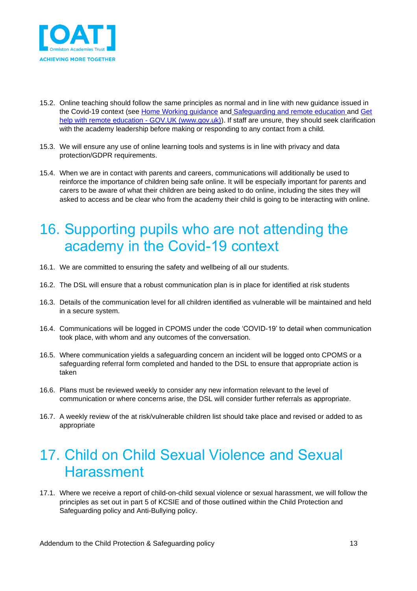

- 15.2. Online teaching should follow the same principles as normal and in line with new guidance issued in the Covid-19 context (see [Home Working guidance](https://oatoe.sharepoint.com/:f:/r/sites/Covid-19/Coronavirus%20support%20documents/Working%20from%20home%20arrangements?csf=1&e=kqdine) and [Safeguarding and remote education](https://www.gov.uk/guidance/safeguarding-and-remote-education-during-coronavirus-covid-19) and [Get](https://www.gov.uk/guidance/get-help-with-remote-education)  [help with remote education -](https://www.gov.uk/guidance/get-help-with-remote-education) GOV.UK (www.gov.uk)). If staff are unsure, they should seek clarification with the academy leadership before making or responding to any contact from a child.
- 15.3. We will ensure any use of online learning tools and systems is in line with privacy and data protection/GDPR requirements.
- 15.4. When we are in contact with parents and careers, communications will additionally be used to reinforce the importance of children being safe online. It will be especially important for parents and carers to be aware of what their children are being asked to do online, including the sites they will asked to access and be clear who from the academy their child is going to be interacting with online.

#### <span id="page-12-0"></span>16. Supporting pupils who are not attending the academy in the Covid-19 context

- 16.1. We are committed to ensuring the safety and wellbeing of all our students.
- 16.2. The DSL will ensure that a robust communication plan is in place for identified at risk students
- 16.3. Details of the communication level for all children identified as vulnerable will be maintained and held in a secure system.
- 16.4. Communications will be logged in CPOMS under the code 'COVID-19' to detail when communication took place, with whom and any outcomes of the conversation.
- 16.5. Where communication yields a safeguarding concern an incident will be logged onto CPOMS or a safeguarding referral form completed and handed to the DSL to ensure that appropriate action is taken
- 16.6. Plans must be reviewed weekly to consider any new information relevant to the level of communication or where concerns arise, the DSL will consider further referrals as appropriate.
- 16.7. A weekly review of the at risk/vulnerable children list should take place and revised or added to as appropriate

#### <span id="page-12-1"></span>17. Child on Child Sexual Violence and Sexual Harassment

17.1. Where we receive a report of child-on-child sexual violence or sexual harassment, we will follow the principles as set out in part 5 of KCSIE and of those outlined within the Child Protection and Safeguarding policy and Anti-Bullying policy.